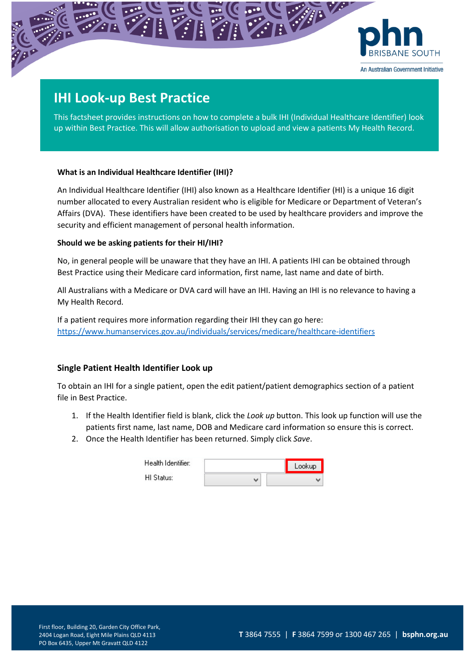

# **IHI Look-up Best Practice**

This factsheet provides instructions on how to complete a bulk IHI (Individual Healthcare Identifier) look up within Best Practice. This will allow authorisation to upload and view a patients My Health Record.

### **What is an Individual Healthcare Identifier (IHI)?**

An Individual Healthcare Identifier (IHI) also known as a Healthcare Identifier (HI) is a unique 16 digit number allocated to every Australian resident who is eligible for Medicare or Department of Veteran's Affairs (DVA). These identifiers have been created to be used by healthcare providers and improve the security and efficient management of personal health information.

### **Should we be asking patients for their HI/IHI?**

No, in general people will be unaware that they have an IHI. A patients IHI can be obtained through Best Practice using their Medicare card information, first name, last name and date of birth.

All Australians with a Medicare or DVA card will have an IHI. Having an IHI is no relevance to having a My Health Record.

If a patient requires more information regarding their IHI they can go here: <https://www.humanservices.gov.au/individuals/services/medicare/healthcare-identifiers>

## **Single Patient Health Identifier Look up**

To obtain an IHI for a single patient, open the edit patient/patient demographics section of a patient file in Best Practice.

- 1. If the Health Identifier field is blank, click the *Look up* button. This look up function will use the patients first name, last name, DOB and Medicare card information so ensure this is correct.
- 2. Once the Health Identifier has been returned. Simply click *Save*.

| Health Identifier: |   | Lookup |
|--------------------|---|--------|
| HI Status:         | ω |        |